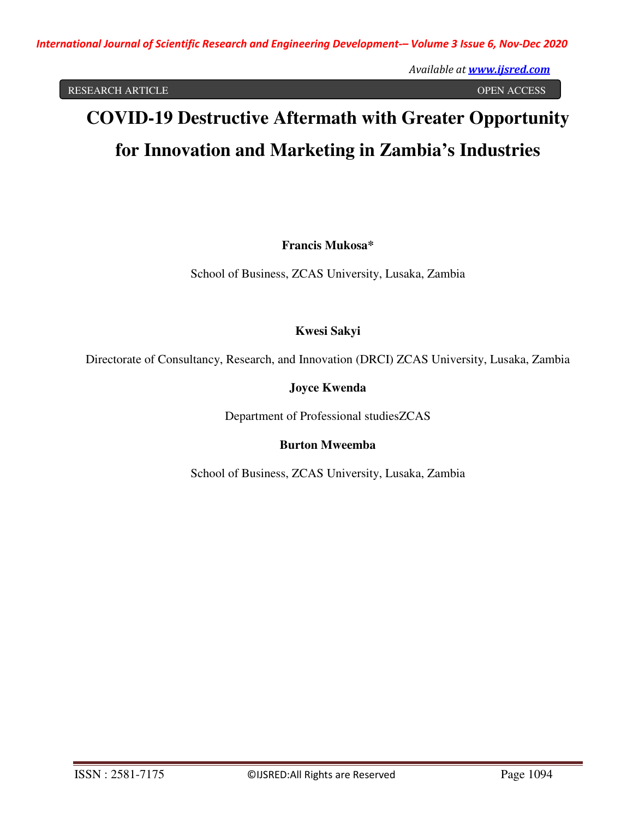RESEARCH ARTICLE OPEN ACCESS

# **COVID-19 Destructive Aftermath with Greater Opportunity for Innovation and Marketing in Zambia's Industries**

**Francis Mukosa\***

School of Business, ZCAS University, Lusaka, Zambia

**Kwesi Sakyi** 

Directorate of Consultancy, Research, and Innovation (DRCI) ZCAS University, Lusaka, Zambia

**Joyce Kwenda** 

Department of Professional studiesZCAS

**Burton Mweemba** 

School of Business, ZCAS University, Lusaka, Zambia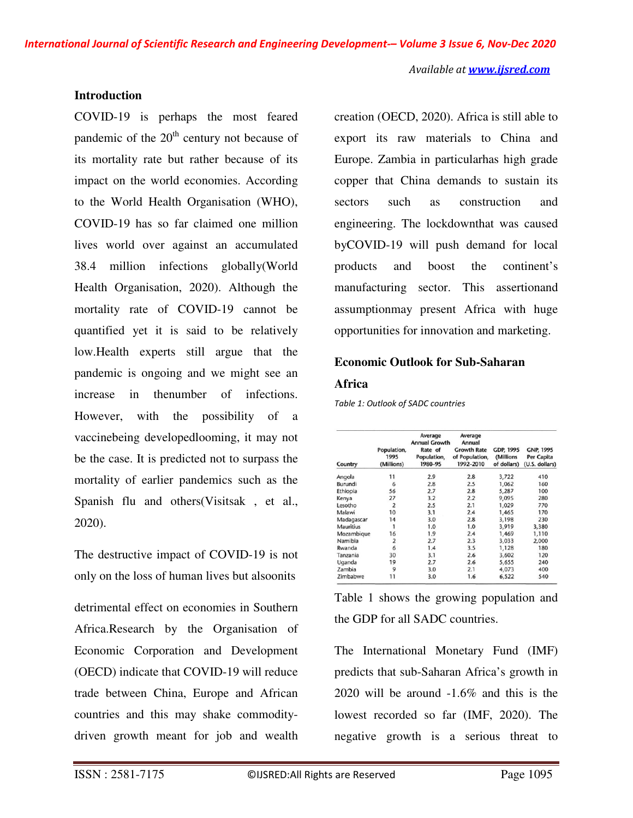#### **Introduction**

COVID-19 is perhaps the most feared pandemic of the  $20<sup>th</sup>$  century not because of its mortality rate but rather because of its impact on the world economies. According to the World Health Organisation (WHO), COVID-19 has so far claimed one million lives world over against an accumulated 38.4 million infections globally(World Health Organisation, 2020). Although the mortality rate of COVID-19 cannot be quantified yet it is said to be relatively low.Health experts still argue that the pandemic is ongoing and we might see an increase in thenumber of infections. However, with the possibility of a vaccinebeing developedlooming, it may not be the case. It is predicted not to surpass the mortality of earlier pandemics such as the Spanish flu and others(Visitsak , et al., 2020).

The destructive impact of COVID-19 is not only on the loss of human lives but alsoonits

detrimental effect on economies in Southern Africa.Research by the Organisation of Economic Corporation and Development (OECD) indicate that COVID-19 will reduce trade between China, Europe and African countries and this may shake commoditydriven growth meant for job and wealth

creation (OECD, 2020). Africa is still able to export its raw materials to China and Europe. Zambia in particularhas high grade copper that China demands to sustain its sectors such as construction and engineering. The lockdownthat was caused byCOVID-19 will push demand for local products and boost the continent's manufacturing sector. This assertionand assumptionmay present Africa with huge opportunities for innovation and marketing.

## **Economic Outlook for Sub-Saharan**

#### **Africa**

*Table 1: Outlook of SADC countries* 

| Country          | Population,<br>1995<br>(Millions) | Average<br><b>Annual Growth</b><br>Rate of<br>Population,<br>1980-95 | Average<br>Annual<br><b>Growth Rate</b><br>of Population,<br>1992-2010 | <b>GDP, 1995</b><br>(Millions<br>of dollars) | GNP, 1995<br>Per Capita<br>(U.S. dollars) |
|------------------|-----------------------------------|----------------------------------------------------------------------|------------------------------------------------------------------------|----------------------------------------------|-------------------------------------------|
| Angola           | 11                                | 2.9                                                                  | 2.8                                                                    | 3,722                                        | 410                                       |
| Burundi          | 6                                 | 2.8                                                                  | 2.5                                                                    | 1,062                                        | 160                                       |
| Ethiopia         | 56                                | 2.7                                                                  | 2.8                                                                    | 5,287                                        | 100                                       |
| Kenya            | 27                                | 3.2                                                                  | 2.2                                                                    | 9,095                                        | 280                                       |
| Lesotho          | 2                                 | 2.5                                                                  | 2.1                                                                    | 1,029                                        | 770                                       |
| Malawi           | 10                                | 3.1                                                                  | 2.4                                                                    | 1,465                                        | 170                                       |
| Madagascar       | 14                                | 3.0                                                                  | 2.8                                                                    | 3,198                                        | 230                                       |
| <b>Mauritius</b> | 1                                 | 1.0                                                                  | 1.0                                                                    | 3,919                                        | 3,380                                     |
| Mozambique       | 16                                | 1.9                                                                  | 2.4                                                                    | 1,469                                        | 1,110                                     |
| Namibia          | $\overline{2}$                    | 2.7                                                                  | 2.3                                                                    | 3,033                                        | 2,000                                     |
| Rwanda           | 6                                 | 1.4                                                                  | 3.5                                                                    | 1,128                                        | 180                                       |
| Tanzania         | 30                                | 3.1                                                                  | 2.6                                                                    | 3,602                                        | 120                                       |
| Uganda           | 19                                | 2.7                                                                  | 2.6                                                                    | 5,655                                        | 240                                       |
| Zambia           | 9                                 | 3.0                                                                  | 2.1                                                                    | 4,073                                        | 400                                       |
| Zimbabwe         | 11                                | 3.0                                                                  | 1.6                                                                    | 6,522                                        | 540                                       |

Table 1 shows the growing population and the GDP for all SADC countries.

The International Monetary Fund (IMF) predicts that sub-Saharan Africa's growth in 2020 will be around -1.6% and this is the lowest recorded so far (IMF, 2020). The negative growth is a serious threat to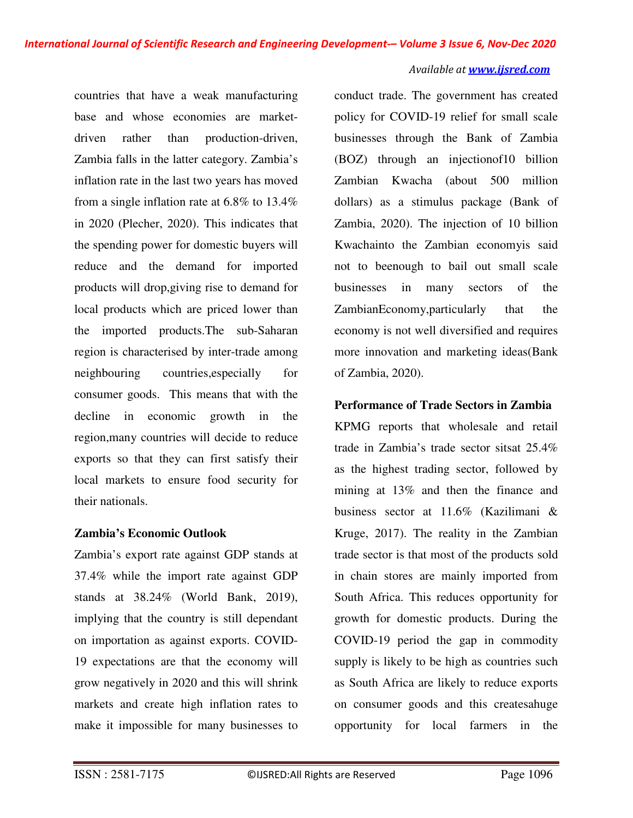countries that have a weak manufacturing base and whose economies are marketdriven rather than production-driven, Zambia falls in the latter category. Zambia's inflation rate in the last two years has moved from a single inflation rate at 6.8% to 13.4% in 2020 (Plecher, 2020). This indicates that the spending power for domestic buyers will reduce and the demand for imported products will drop,giving rise to demand for local products which are priced lower than the imported products.The sub-Saharan region is characterised by inter-trade among neighbouring countries,especially for consumer goods. This means that with the decline in economic growth in the region,many countries will decide to reduce exports so that they can first satisfy their local markets to ensure food security for their nationals.

## **Zambia's Economic Outlook**

Zambia's export rate against GDP stands at 37.4% while the import rate against GDP stands at 38.24% (World Bank, 2019), implying that the country is still dependant on importation as against exports. COVID-19 expectations are that the economy will grow negatively in 2020 and this will shrink markets and create high inflation rates to make it impossible for many businesses to

conduct trade. The government has created policy for COVID-19 relief for small scale businesses through the Bank of Zambia (BOZ) through an injectionof10 billion Zambian Kwacha (about 500 million dollars) as a stimulus package (Bank of Zambia, 2020). The injection of 10 billion Kwachainto the Zambian economyis said not to beenough to bail out small scale businesses in many sectors of the ZambianEconomy,particularly that the economy is not well diversified and requires more innovation and marketing ideas(Bank of Zambia, 2020).

## **Performance of Trade Sectors in Zambia**

KPMG reports that wholesale and retail trade in Zambia's trade sector sitsat 25.4% as the highest trading sector, followed by mining at 13% and then the finance and business sector at 11.6% (Kazilimani & Kruge, 2017). The reality in the Zambian trade sector is that most of the products sold in chain stores are mainly imported from South Africa. This reduces opportunity for growth for domestic products. During the COVID-19 period the gap in commodity supply is likely to be high as countries such as South Africa are likely to reduce exports on consumer goods and this createsahuge opportunity for local farmers in the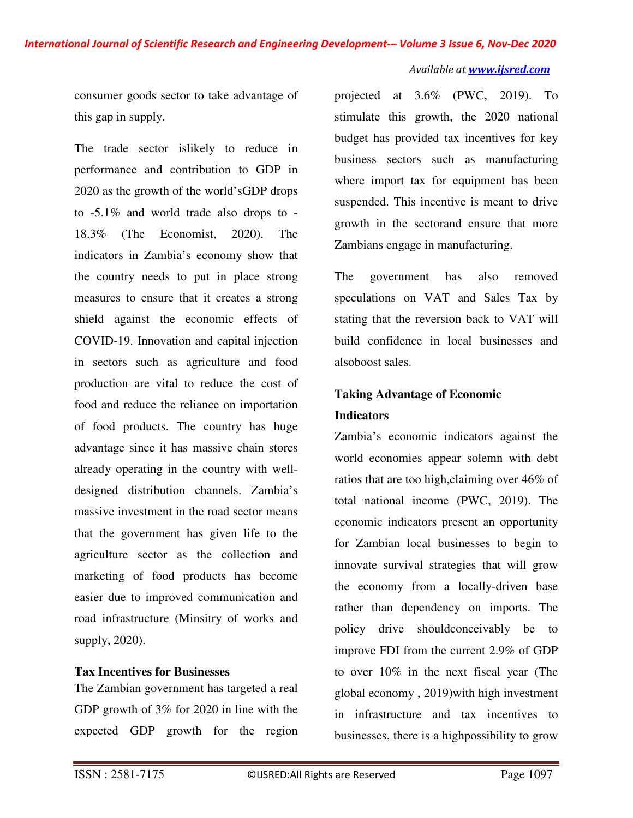consumer goods sector to take advantage of this gap in supply.

The trade sector islikely to reduce in performance and contribution to GDP in 2020 as the growth of the world'sGDP drops to -5.1% and world trade also drops to - 18.3% (The Economist, 2020). The indicators in Zambia's economy show that the country needs to put in place strong measures to ensure that it creates a strong shield against the economic effects of COVID-19. Innovation and capital injection in sectors such as agriculture and food production are vital to reduce the cost of food and reduce the reliance on importation of food products. The country has huge advantage since it has massive chain stores already operating in the country with welldesigned distribution channels. Zambia's massive investment in the road sector means that the government has given life to the agriculture sector as the collection and marketing of food products has become easier due to improved communication and road infrastructure (Minsitry of works and supply, 2020).

### **Tax Incentives for Businesses**

The Zambian government has targeted a real GDP growth of 3% for 2020 in line with the expected GDP growth for the region

projected at 3.6% (PWC, 2019). To stimulate this growth, the 2020 national budget has provided tax incentives for key business sectors such as manufacturing where import tax for equipment has been suspended. This incentive is meant to drive growth in the sectorand ensure that more Zambians engage in manufacturing.

The government has also removed speculations on VAT and Sales Tax by stating that the reversion back to VAT will build confidence in local businesses and alsoboost sales.

# **Taking Advantage of Economic Indicators**

Zambia's economic indicators against the world economies appear solemn with debt ratios that are too high,claiming over 46% of total national income (PWC, 2019). The economic indicators present an opportunity for Zambian local businesses to begin to innovate survival strategies that will grow the economy from a locally-driven base rather than dependency on imports. The policy drive shouldconceivably be to improve FDI from the current 2.9% of GDP to over 10% in the next fiscal year (The global economy , 2019)with high investment in infrastructure and tax incentives to businesses, there is a highpossibility to grow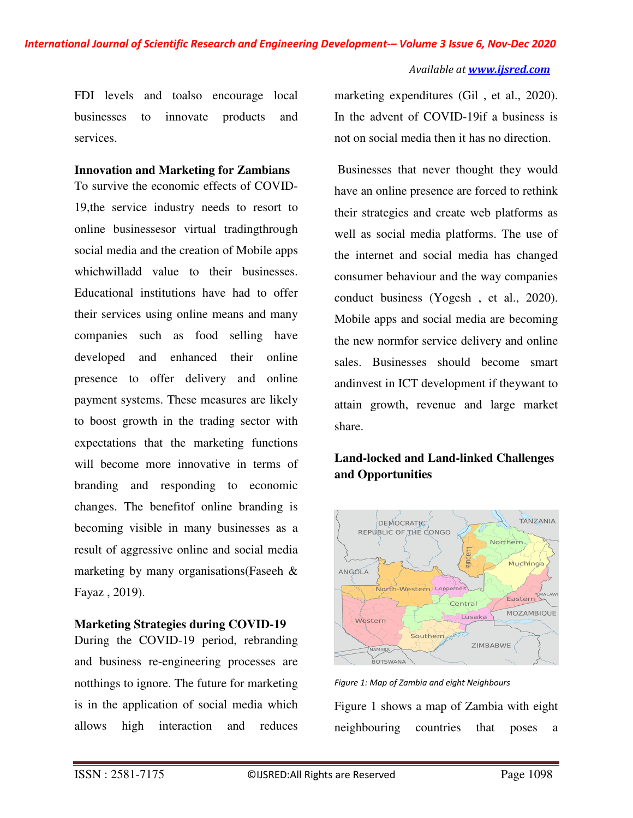FDI levels and toalso encourage local businesses to innovate products and services.

## **Innovation and Marketing for Zambians**

To survive the economic effects of COVID-19,the service industry needs to resort to online businessesor virtual tradingthrough social media and the creation of Mobile apps whichwilladd value to their businesses. Educational institutions have had to offer their services using online means and many companies such as food selling have developed and enhanced their online presence to offer delivery and online payment systems. These measures are likely to boost growth in the trading sector with expectations that the marketing functions will become more innovative in terms of branding and responding to economic changes. The benefitof online branding is becoming visible in many businesses as a result of aggressive online and social media marketing by many organisations(Faseeh & Fayaz , 2019).

## **Marketing Strategies during COVID-19**

During the COVID-19 period, rebranding and business re-engineering processes are notthings to ignore. The future for marketing is in the application of social media which allows high interaction and reduces

marketing expenditures (Gil , et al., 2020). In the advent of COVID-19if a business is not on social media then it has no direction.

 Businesses that never thought they would have an online presence are forced to rethink their strategies and create web platforms as well as social media platforms. The use of the internet and social media has changed consumer behaviour and the way companies conduct business (Yogesh , et al., 2020). Mobile apps and social media are becoming the new normfor service delivery and online sales. Businesses should become smart andinvest in ICT development if theywant to attain growth, revenue and large market share.

## **Land-locked and Land-linked Challenges and Opportunities**



*Figure 1: Map of Zambia and eight Neighbours* 

Figure 1 shows a map of Zambia with eight neighbouring countries that poses a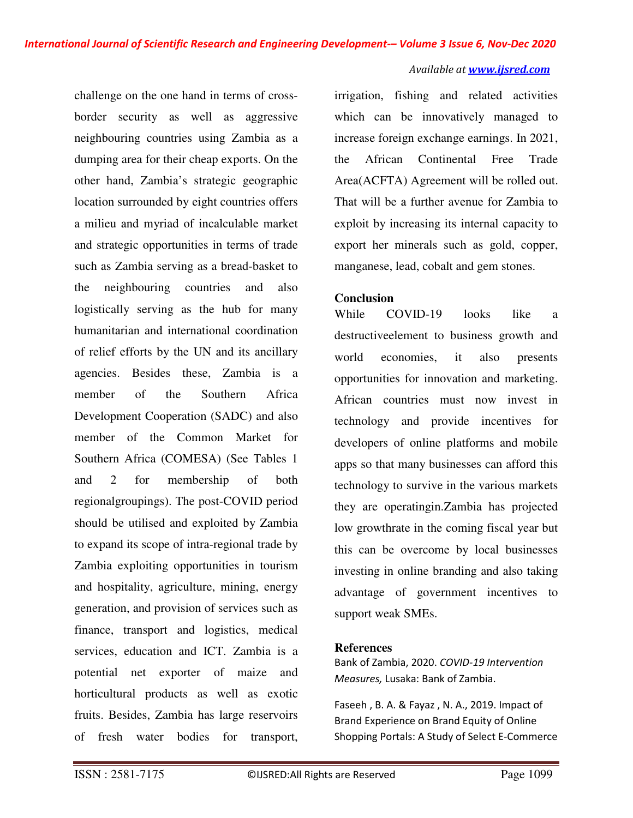challenge on the one hand in terms of crossborder security as well as aggressive neighbouring countries using Zambia as a dumping area for their cheap exports. On the other hand, Zambia's strategic geographic location surrounded by eight countries offers a milieu and myriad of incalculable market and strategic opportunities in terms of trade such as Zambia serving as a bread-basket to the neighbouring countries and also logistically serving as the hub for many humanitarian and international coordination of relief efforts by the UN and its ancillary agencies. Besides these, Zambia is a member of the Southern Africa Development Cooperation (SADC) and also member of the Common Market for Southern Africa (COMESA) (See Tables 1 and 2 for membership of both regionalgroupings). The post-COVID period should be utilised and exploited by Zambia to expand its scope of intra-regional trade by Zambia exploiting opportunities in tourism and hospitality, agriculture, mining, energy generation, and provision of services such as finance, transport and logistics, medical services, education and ICT. Zambia is a potential net exporter of maize and horticultural products as well as exotic fruits. Besides, Zambia has large reservoirs of fresh water bodies for transport,

irrigation, fishing and related activities which can be innovatively managed to increase foreign exchange earnings. In 2021, the African Continental Free Trade Area(ACFTA) Agreement will be rolled out. That will be a further avenue for Zambia to exploit by increasing its internal capacity to export her minerals such as gold, copper, manganese, lead, cobalt and gem stones.

#### **Conclusion**

While COVID-19 looks like a destructiveelement to business growth and world economies, it also presents opportunities for innovation and marketing. African countries must now invest in technology and provide incentives for developers of online platforms and mobile apps so that many businesses can afford this technology to survive in the various markets they are operatingin.Zambia has projected low growthrate in the coming fiscal year but this can be overcome by local businesses investing in online branding and also taking advantage of government incentives to support weak SMEs.

#### **References**

Bank of Zambia, 2020. *COVID-19 Intervention Measures,* Lusaka: Bank of Zambia.

Faseeh , B. A. & Fayaz , N. A., 2019. Impact of Brand Experience on Brand Equity of Online Shopping Portals: A Study of Select E-Commerce